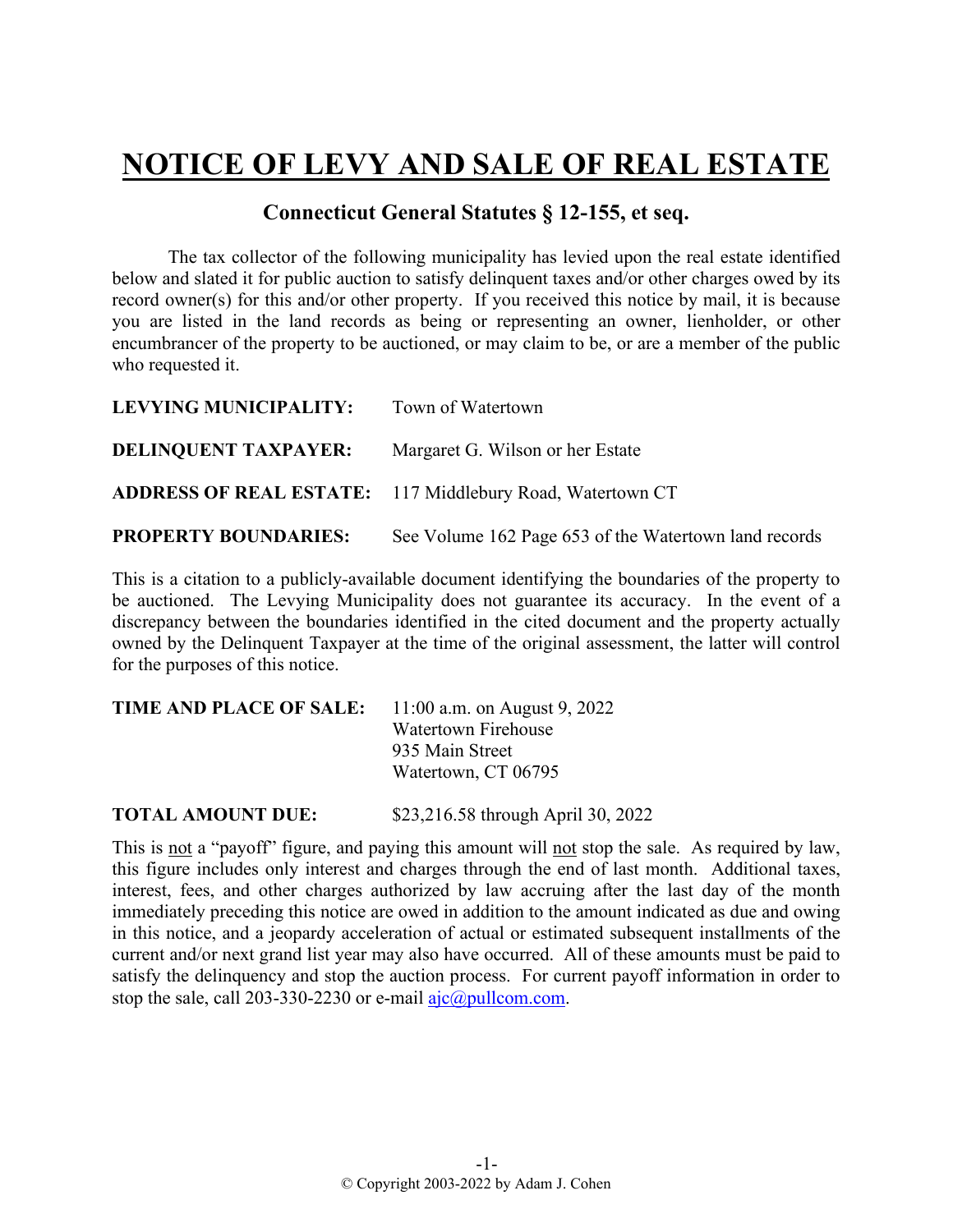## **NOTICE OF LEVY AND SALE OF REAL ESTATE**

## **Connecticut General Statutes § 12-155, et seq.**

The tax collector of the following municipality has levied upon the real estate identified below and slated it for public auction to satisfy delinquent taxes and/or other charges owed by its record owner(s) for this and/or other property. If you received this notice by mail, it is because you are listed in the land records as being or representing an owner, lienholder, or other encumbrancer of the property to be auctioned, or may claim to be, or are a member of the public who requested it.

| LEVYING MUNICIPALITY: Town of Watertown |                                                           |
|-----------------------------------------|-----------------------------------------------------------|
| <b>DELINQUENT TAXPAYER:</b>             | Margaret G. Wilson or her Estate                          |
|                                         | ADDRESS OF REAL ESTATE: 117 Middlebury Road, Watertown CT |
| <b>PROPERTY BOUNDARIES:</b>             | See Volume 162 Page 653 of the Watertown land records     |

This is a citation to a publicly-available document identifying the boundaries of the property to be auctioned. The Levying Municipality does not guarantee its accuracy. In the event of a discrepancy between the boundaries identified in the cited document and the property actually owned by the Delinquent Taxpayer at the time of the original assessment, the latter will control for the purposes of this notice.

| <b>TIME AND PLACE OF SALE:</b> | 11:00 a.m. on August 9, 2022 |
|--------------------------------|------------------------------|
|                                | <b>Watertown Firehouse</b>   |
|                                | 935 Main Street              |
|                                | Watertown, CT 06795          |
|                                |                              |

**TOTAL AMOUNT DUE:** \$23,216.58 through April 30, 2022

This is not a "payoff" figure, and paying this amount will not stop the sale. As required by law, this figure includes only interest and charges through the end of last month. Additional taxes, interest, fees, and other charges authorized by law accruing after the last day of the month immediately preceding this notice are owed in addition to the amount indicated as due and owing in this notice, and a jeopardy acceleration of actual or estimated subsequent installments of the current and/or next grand list year may also have occurred. All of these amounts must be paid to satisfy the delinquency and stop the auction process. For current payoff information in order to stop the sale, call 203-330-2230 or e-mail  $a$ jc $@p$ ullcom.com.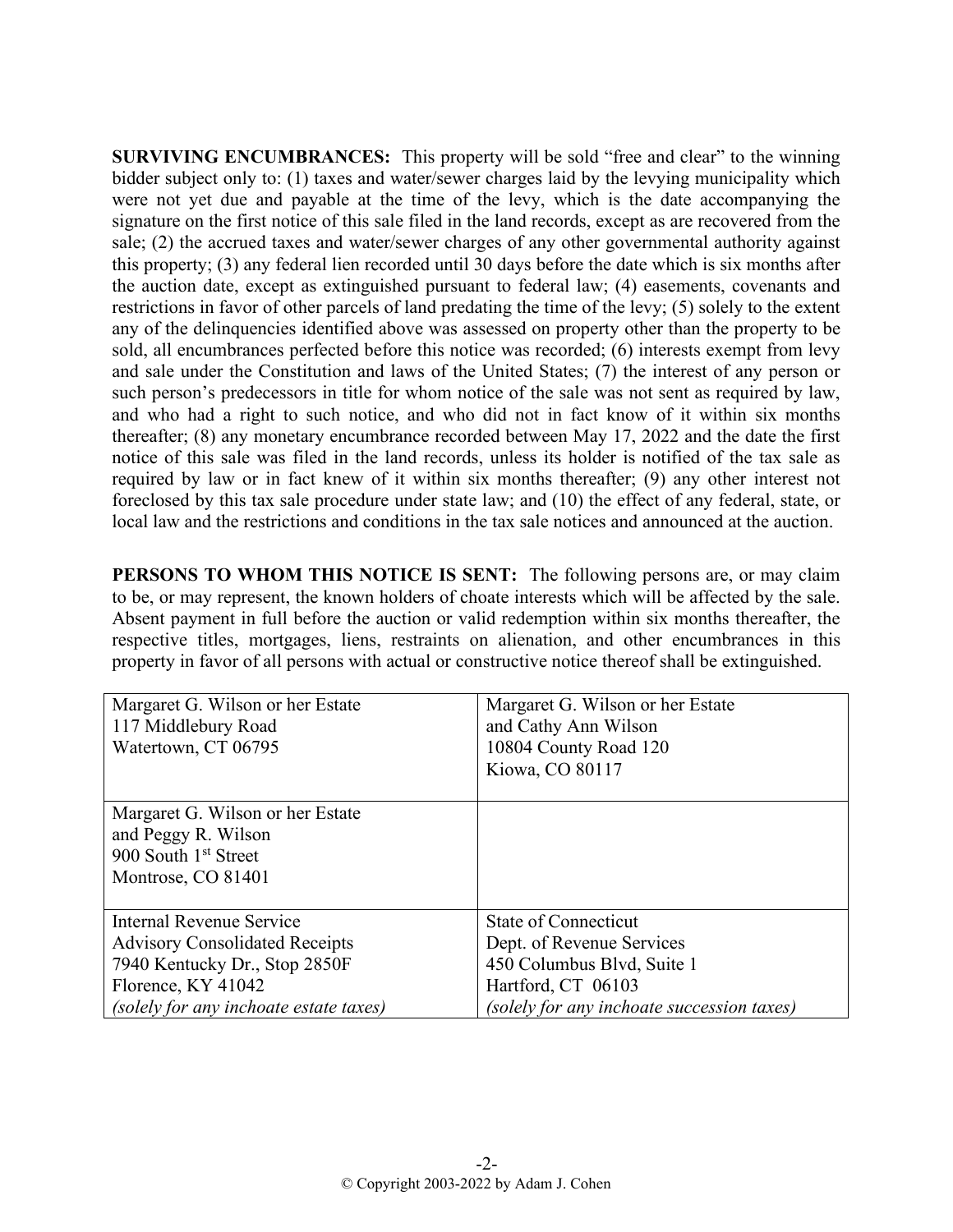**SURVIVING ENCUMBRANCES:** This property will be sold "free and clear" to the winning bidder subject only to: (1) taxes and water/sewer charges laid by the levying municipality which were not yet due and payable at the time of the levy, which is the date accompanying the signature on the first notice of this sale filed in the land records, except as are recovered from the sale; (2) the accrued taxes and water/sewer charges of any other governmental authority against this property; (3) any federal lien recorded until 30 days before the date which is six months after the auction date, except as extinguished pursuant to federal law; (4) easements, covenants and restrictions in favor of other parcels of land predating the time of the levy; (5) solely to the extent any of the delinquencies identified above was assessed on property other than the property to be sold, all encumbrances perfected before this notice was recorded; (6) interests exempt from levy and sale under the Constitution and laws of the United States; (7) the interest of any person or such person's predecessors in title for whom notice of the sale was not sent as required by law, and who had a right to such notice, and who did not in fact know of it within six months thereafter; (8) any monetary encumbrance recorded between May 17, 2022 and the date the first notice of this sale was filed in the land records, unless its holder is notified of the tax sale as required by law or in fact knew of it within six months thereafter; (9) any other interest not foreclosed by this tax sale procedure under state law; and (10) the effect of any federal, state, or local law and the restrictions and conditions in the tax sale notices and announced at the auction.

**PERSONS TO WHOM THIS NOTICE IS SENT:** The following persons are, or may claim to be, or may represent, the known holders of choate interests which will be affected by the sale. Absent payment in full before the auction or valid redemption within six months thereafter, the respective titles, mortgages, liens, restraints on alienation, and other encumbrances in this property in favor of all persons with actual or constructive notice thereof shall be extinguished.

| Margaret G. Wilson or her Estate<br>117 Middlebury Road<br>Watertown, CT 06795                                                                                     | Margaret G. Wilson or her Estate<br>and Cathy Ann Wilson<br>10804 County Road 120<br>Kiowa, CO 80117                                                       |
|--------------------------------------------------------------------------------------------------------------------------------------------------------------------|------------------------------------------------------------------------------------------------------------------------------------------------------------|
| Margaret G. Wilson or her Estate<br>and Peggy R. Wilson<br>900 South 1 <sup>st</sup> Street<br>Montrose, CO 81401                                                  |                                                                                                                                                            |
| Internal Revenue Service<br><b>Advisory Consolidated Receipts</b><br>7940 Kentucky Dr., Stop 2850F<br>Florence, KY 41042<br>(solely for any inchoate estate taxes) | <b>State of Connecticut</b><br>Dept. of Revenue Services<br>450 Columbus Blvd, Suite 1<br>Hartford, CT 06103<br>(solely for any inchoate succession taxes) |